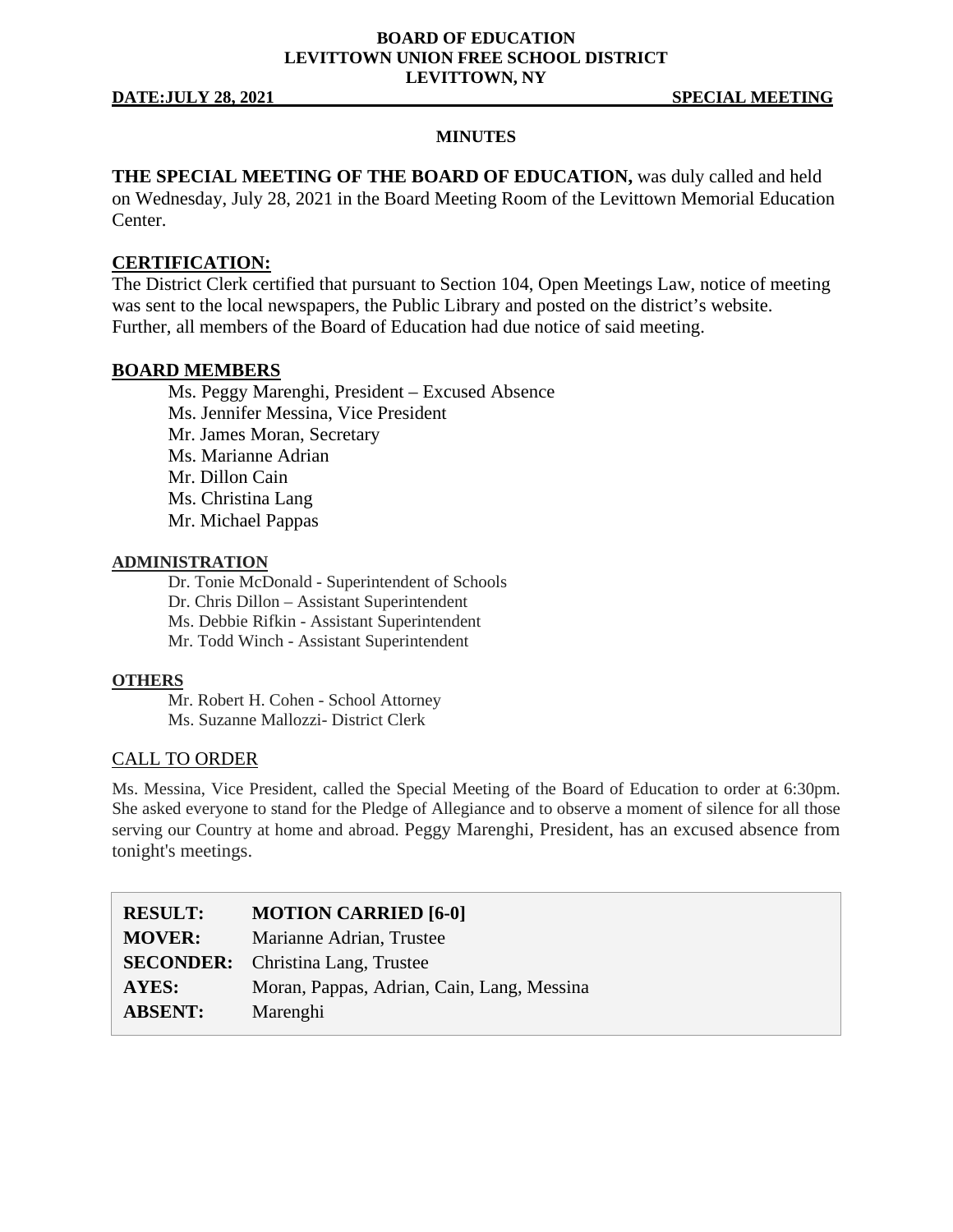## **BOARD OF EDUCATION LEVITTOWN UNION FREE SCHOOL DISTRICT LEVITTOWN, NY**

## **MINUTES**

**THE SPECIAL MEETING OF THE BOARD OF EDUCATION,** was duly called and held on Wednesday, July 28, 2021 in the Board Meeting Room of the Levittown Memorial Education Center.

## **CERTIFICATION:**

The District Clerk certified that pursuant to Section 104, Open Meetings Law, notice of meeting was sent to the local newspapers, the Public Library and posted on the district's website. Further, all members of the Board of Education had due notice of said meeting.

## **BOARD MEMBERS**

Ms. Peggy Marenghi, President – Excused Absence Ms. Jennifer Messina, Vice President Mr. James Moran, Secretary Ms. Marianne Adrian Mr. Dillon Cain Ms. Christina Lang Mr. Michael Pappas

## **ADMINISTRATION**

Dr. Tonie McDonald - Superintendent of Schools Dr. Chris Dillon – Assistant Superintendent Ms. Debbie Rifkin - Assistant Superintendent Mr. Todd Winch - Assistant Superintendent

## **OTHERS**

Mr. Robert H. Cohen - School Attorney Ms. Suzanne Mallozzi- District Clerk

## CALL TO ORDER

Ms. Messina, Vice President, called the Special Meeting of the Board of Education to order at 6:30pm. She asked everyone to stand for the Pledge of Allegiance and to observe a moment of silence for all those serving our Country at home and abroad. Peggy Marenghi, President, has an excused absence from tonight's meetings.

| <b>MOTION CARRIED [6-0]</b>                |
|--------------------------------------------|
| Marianne Adrian, Trustee                   |
| <b>SECONDER:</b> Christina Lang, Trustee   |
| Moran, Pappas, Adrian, Cain, Lang, Messina |
| Marenghi                                   |
|                                            |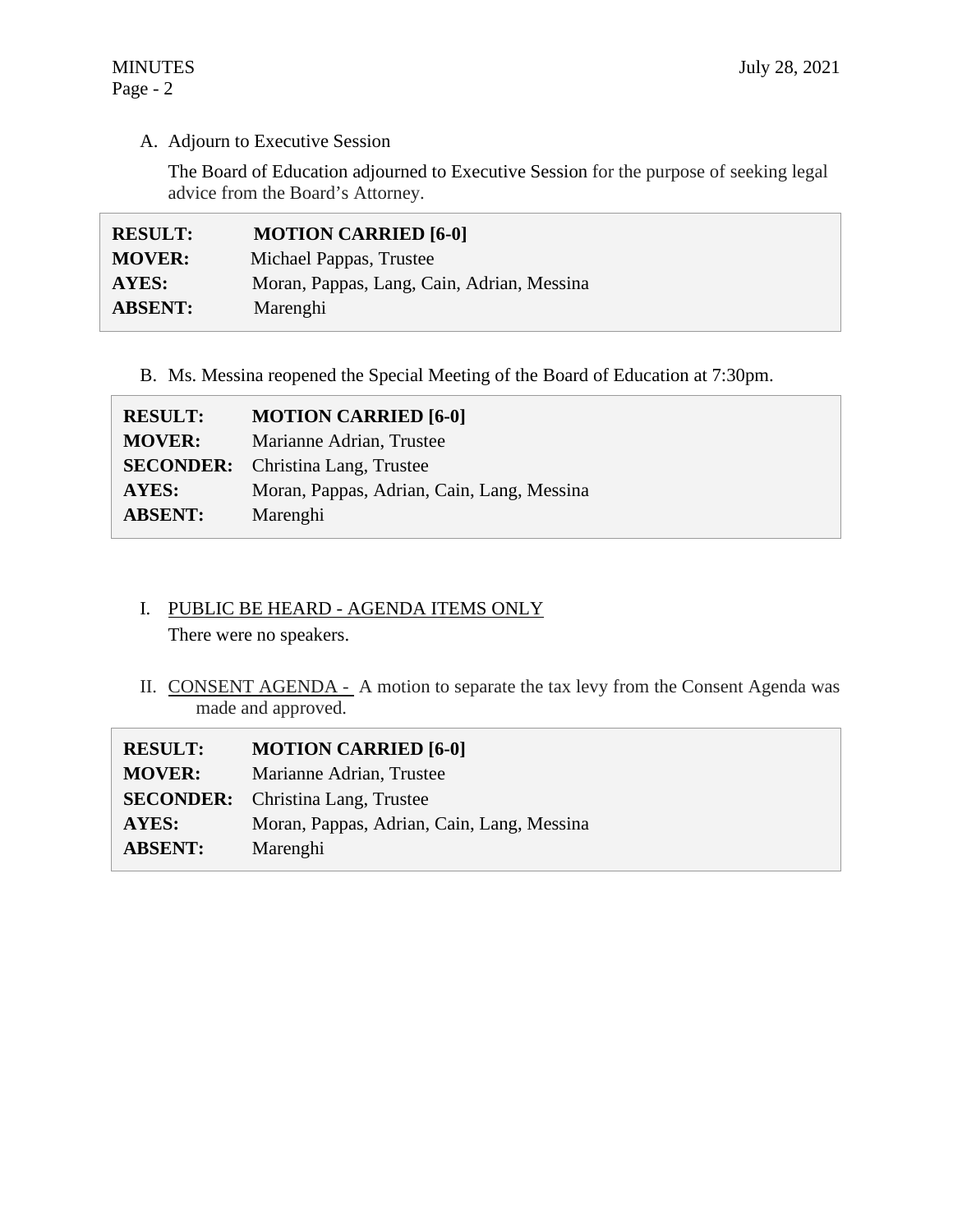# A. Adjourn to Executive Session

The Board of Education adjourned to Executive Session for the purpose of seeking legal advice from the Board's Attorney.

| <b>RESULT:</b> | <b>MOTION CARRIED [6-0]</b>                |
|----------------|--------------------------------------------|
| <b>MOVER:</b>  | Michael Pappas, Trustee                    |
| AYES:          | Moran, Pappas, Lang, Cain, Adrian, Messina |
| <b>ABSENT:</b> | Marenghi                                   |

# B. Ms. Messina reopened the Special Meeting of the Board of Education at 7:30pm.

| <b>RESULT:</b> | <b>MOTION CARRIED [6-0]</b>                |
|----------------|--------------------------------------------|
| <b>MOVER:</b>  | Marianne Adrian, Trustee                   |
|                | <b>SECONDER:</b> Christina Lang, Trustee   |
| AYES:          | Moran, Pappas, Adrian, Cain, Lang, Messina |
| <b>ABSENT:</b> | Marenghi                                   |

# I. PUBLIC BE HEARD - AGENDA ITEMS ONLY

There were no speakers.

II. CONSENT AGENDA - A motion to separate the tax levy from the Consent Agenda was made and approved.

| <b>RESULT:</b> | <b>MOTION CARRIED [6-0]</b>                |
|----------------|--------------------------------------------|
| <b>MOVER:</b>  | Marianne Adrian, Trustee                   |
|                | <b>SECONDER:</b> Christina Lang, Trustee   |
| <b>AYES:</b>   | Moran, Pappas, Adrian, Cain, Lang, Messina |
| <b>ABSENT:</b> | Marenghi                                   |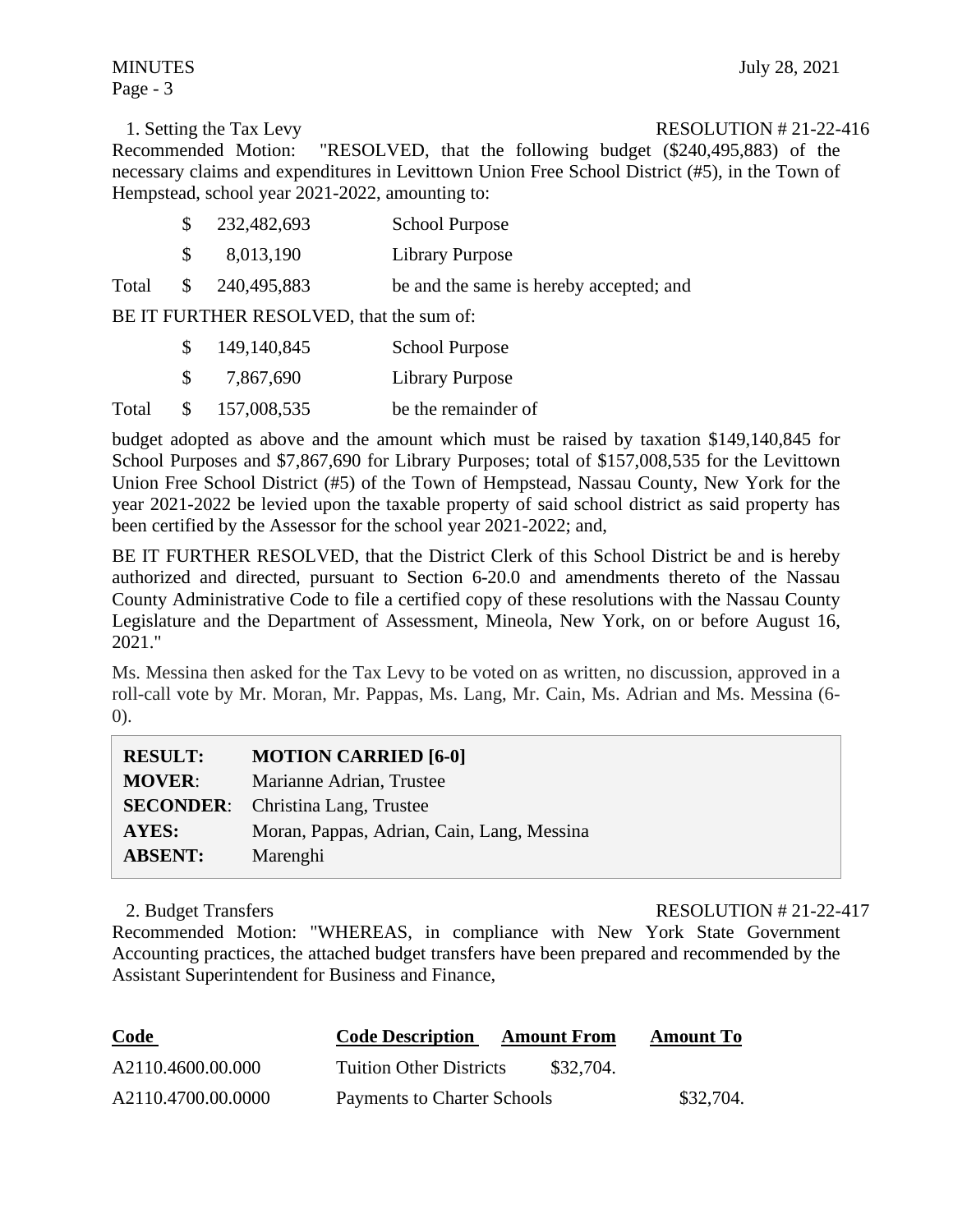Page - 3

1. Setting the Tax Levy RESOLUTION # 21-22-416 Recommended Motion: "RESOLVED, that the following budget (\$240,495,883) of the necessary claims and expenditures in Levittown Union Free School District (#5), in the Town of Hempstead, school year 2021-2022, amounting to:

|       | S. | 232,482,693   | <b>School Purpose</b>                   |
|-------|----|---------------|-----------------------------------------|
|       | S. | 8,013,190     | Library Purpose                         |
| Total |    | \$240,495,883 | be and the same is hereby accepted; and |

BE IT FURTHER RESOLVED, that the sum of:

|       | 149,140,845   | <b>School Purpose</b> |
|-------|---------------|-----------------------|
|       | 7,867,690     | Library Purpose       |
| Total | \$157,008,535 | be the remainder of   |

budget adopted as above and the amount which must be raised by taxation \$149,140,845 for School Purposes and \$7,867,690 for Library Purposes; total of \$157,008,535 for the Levittown Union Free School District (#5) of the Town of Hempstead, Nassau County, New York for the year 2021-2022 be levied upon the taxable property of said school district as said property has been certified by the Assessor for the school year 2021-2022; and,

BE IT FURTHER RESOLVED, that the District Clerk of this School District be and is hereby authorized and directed, pursuant to Section 6-20.0 and amendments thereto of the Nassau County Administrative Code to file a certified copy of these resolutions with the Nassau County Legislature and the Department of Assessment, Mineola, New York, on or before August 16, 2021."

Ms. Messina then asked for the Tax Levy to be voted on as written, no discussion, approved in a roll-call vote by Mr. Moran, Mr. Pappas, Ms. Lang, Mr. Cain, Ms. Adrian and Ms. Messina (6- 0).

| <b>RESULT:</b> | <b>MOTION CARRIED [6-0]</b>                |
|----------------|--------------------------------------------|
| <b>MOVER:</b>  | Marianne Adrian, Trustee                   |
|                | <b>SECONDER:</b> Christina Lang, Trustee   |
| AYES:          | Moran, Pappas, Adrian, Cain, Lang, Messina |
| <b>ABSENT:</b> | Marenghi                                   |

2. Budget Transfers **RESOLUTION # 21-22-417** 

Recommended Motion: "WHEREAS, in compliance with New York State Government Accounting practices, the attached budget transfers have been prepared and recommended by the Assistant Superintendent for Business and Finance,

| <b>Code</b>        | <b>Code Description</b><br><b>Amount From</b> | <b>Amount To</b> |
|--------------------|-----------------------------------------------|------------------|
| A2110.4600.00.000  | <b>Tuition Other Districts</b><br>\$32,704.   |                  |
| A2110.4700.00.0000 | Payments to Charter Schools                   | \$32,704.        |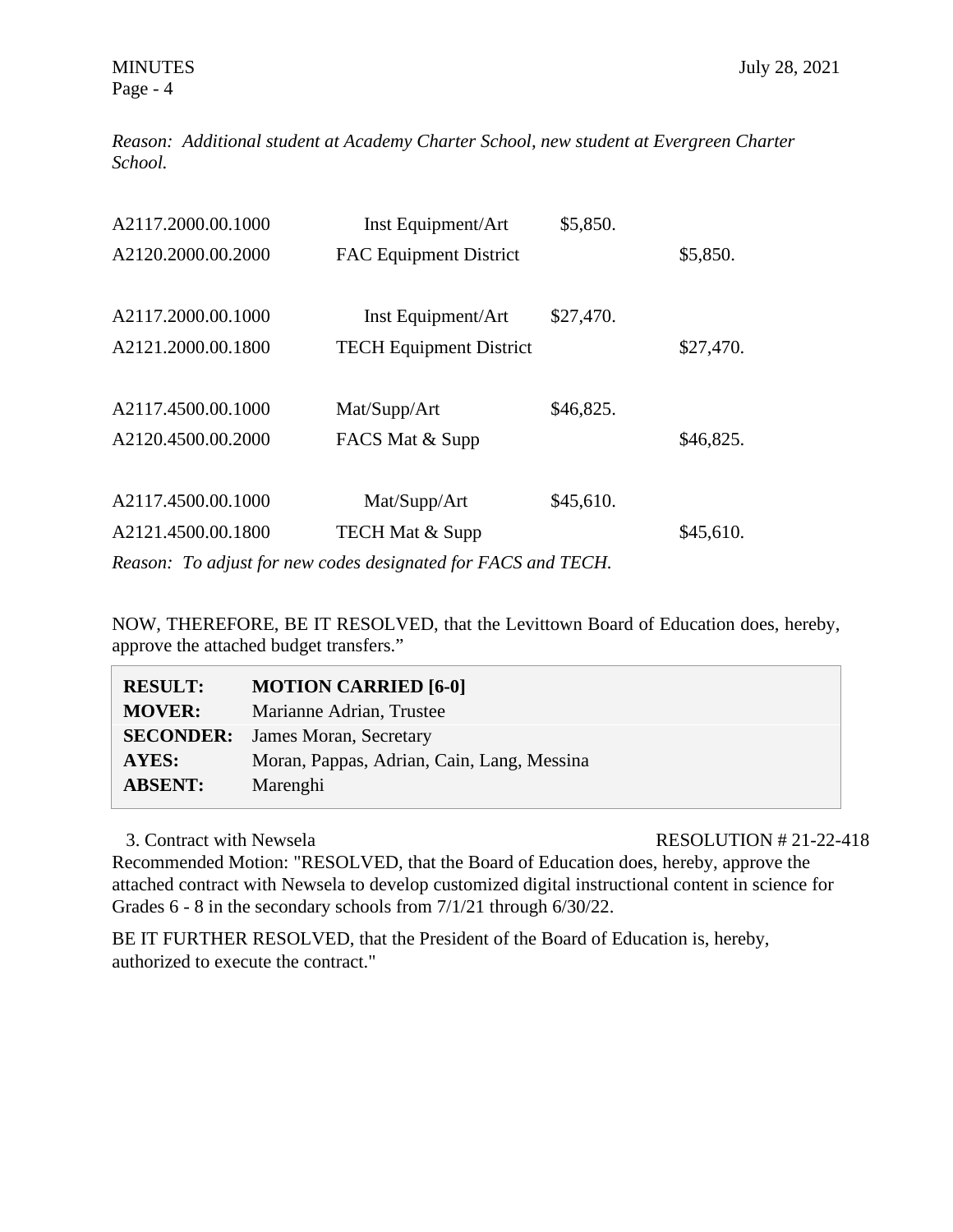Page - 4

*Reason: Additional student at Academy Charter School, new student at Evergreen Charter School.* 

| A2117.2000.00.1000 | Inst Equipment/Art             | \$5,850.  |           |
|--------------------|--------------------------------|-----------|-----------|
| A2120.2000.00.2000 | <b>FAC Equipment District</b>  |           | \$5,850.  |
|                    |                                |           |           |
| A2117.2000.00.1000 | Inst Equipment/Art             | \$27,470. |           |
| A2121.2000.00.1800 | <b>TECH Equipment District</b> |           | \$27,470. |
|                    |                                |           |           |
| A2117.4500.00.1000 | Mat/Supp/Art                   | \$46,825. |           |
| A2120.4500.00.2000 | FACS Mat & Supp                |           | \$46,825. |
|                    |                                |           |           |
| A2117.4500.00.1000 | Mat/Supp/Art                   | \$45,610. |           |
| A2121.4500.00.1800 | <b>TECH Mat &amp; Supp</b>     |           | \$45,610. |
|                    |                                |           |           |

*Reason: To adjust for new codes designated for FACS and TECH.* 

NOW, THEREFORE, BE IT RESOLVED, that the Levittown Board of Education does, hereby, approve the attached budget transfers."

| <b>RESULT:</b> | <b>MOTION CARRIED [6-0]</b>                |
|----------------|--------------------------------------------|
| <b>MOVER:</b>  | Marianne Adrian, Trustee                   |
|                | <b>SECONDER:</b> James Moran, Secretary    |
| <b>AYES:</b>   | Moran, Pappas, Adrian, Cain, Lang, Messina |
| <b>ABSENT:</b> | Marenghi                                   |

3. Contract with Newsela **RESOLUTION # 21-22-418** 

Recommended Motion: "RESOLVED, that the Board of Education does, hereby, approve the attached contract with Newsela to develop customized digital instructional content in science for Grades 6 - 8 in the secondary schools from 7/1/21 through 6/30/22.

BE IT FURTHER RESOLVED, that the President of the Board of Education is, hereby, authorized to execute the contract."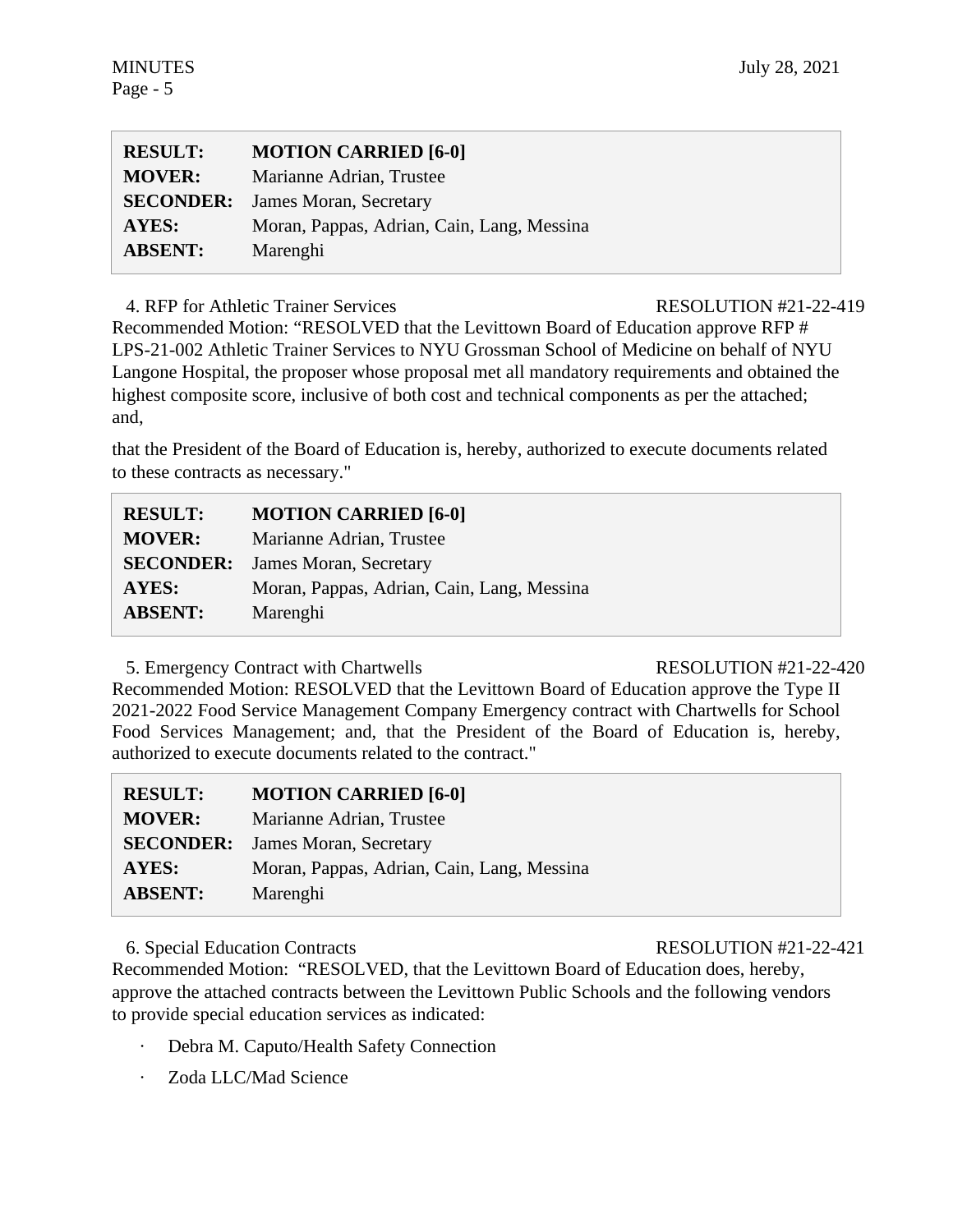| <b>RESULT:</b> | <b>MOTION CARRIED [6-0]</b>                |
|----------------|--------------------------------------------|
| <b>MOVER:</b>  | Marianne Adrian, Trustee                   |
|                | <b>SECONDER:</b> James Moran, Secretary    |
| <b>AYES:</b>   | Moran, Pappas, Adrian, Cain, Lang, Messina |
| <b>ABSENT:</b> | Marenghi                                   |

4. RFP for Athletic Trainer Services RESOLUTION #21-22-419

Recommended Motion: "RESOLVED that the Levittown Board of Education approve RFP # LPS-21-002 Athletic Trainer Services to NYU Grossman School of Medicine on behalf of NYU Langone Hospital, the proposer whose proposal met all mandatory requirements and obtained the highest composite score, inclusive of both cost and technical components as per the attached; and,

that the President of the Board of Education is, hereby, authorized to execute documents related to these contracts as necessary."

| <b>RESULT:</b> | <b>MOTION CARRIED [6-0]</b>                |
|----------------|--------------------------------------------|
| <b>MOVER:</b>  | Marianne Adrian, Trustee                   |
|                | <b>SECONDER:</b> James Moran, Secretary    |
| <b>AYES:</b>   | Moran, Pappas, Adrian, Cain, Lang, Messina |
| <b>ABSENT:</b> | Marenghi                                   |

5. Emergency Contract with Chartwells RESOLUTION #21-22-420

Recommended Motion: RESOLVED that the Levittown Board of Education approve the Type II 2021-2022 Food Service Management Company Emergency contract with Chartwells for School Food Services Management; and, that the President of the Board of Education is, hereby, authorized to execute documents related to the contract."

| <b>RESULT:</b>   | <b>MOTION CARRIED [6-0]</b>                |
|------------------|--------------------------------------------|
| <b>MOVER:</b>    | Marianne Adrian, Trustee                   |
| <b>SECONDER:</b> | James Moran, Secretary                     |
| AYES:            | Moran, Pappas, Adrian, Cain, Lang, Messina |
| <b>ABSENT:</b>   | Marenghi                                   |

6. Special Education Contracts RESOLUTION #21-22-421

Recommended Motion: "RESOLVED, that the Levittown Board of Education does, hereby, approve the attached contracts between the Levittown Public Schools and the following vendors to provide special education services as indicated:

- Debra M. Caputo/Health Safety Connection
- Zoda LLC/Mad Science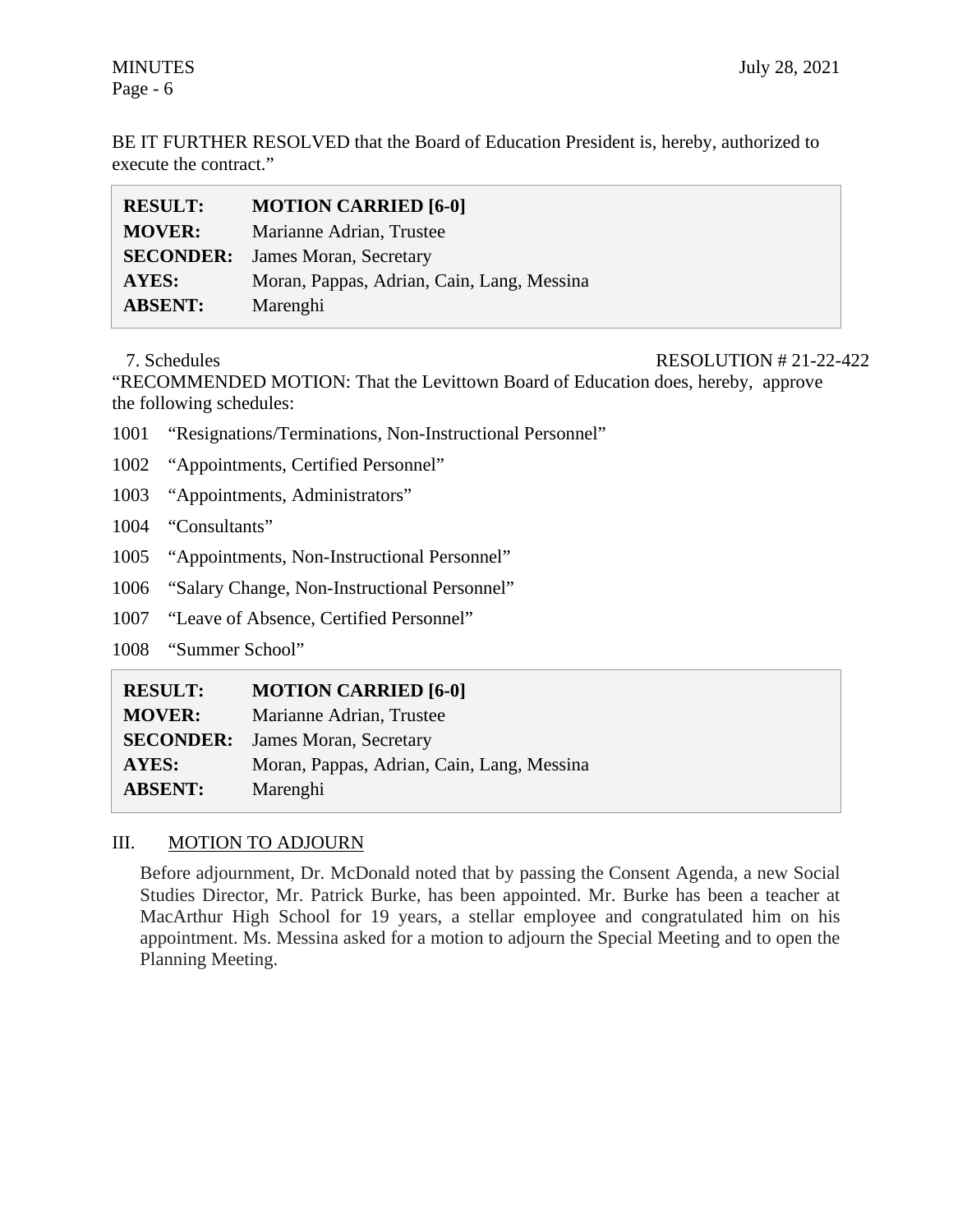BE IT FURTHER RESOLVED that the Board of Education President is, hereby, authorized to execute the contract."

| <b>RESULT:</b>   | <b>MOTION CARRIED [6-0]</b>                |
|------------------|--------------------------------------------|
| <b>MOVER:</b>    | Marianne Adrian, Trustee                   |
| <b>SECONDER:</b> | James Moran, Secretary                     |
| AYES:            | Moran, Pappas, Adrian, Cain, Lang, Messina |
| <b>ABSENT:</b>   | Marenghi                                   |

## 7. Schedules RESOLUTION # 21-22-422

"RECOMMENDED MOTION: That the Levittown Board of Education does, hereby, approve the following schedules:

- 1001 "Resignations/Terminations, Non-Instructional Personnel"
- 1002 "Appointments, Certified Personnel"
- 1003 "Appointments, Administrators"
- 1004 "Consultants"
- 1005 "Appointments, Non-Instructional Personnel"
- 1006 "Salary Change, Non-Instructional Personnel"
- 1007 "Leave of Absence, Certified Personnel"
- 1008 "Summer School"

| <b>RESULT:</b> | <b>MOTION CARRIED [6-0]</b>                |
|----------------|--------------------------------------------|
| <b>MOVER:</b>  | Marianne Adrian, Trustee                   |
|                | <b>SECONDER:</b> James Moran, Secretary    |
| AYES:          | Moran, Pappas, Adrian, Cain, Lang, Messina |
| <b>ABSENT:</b> | Marenghi                                   |

# III. MOTION TO ADJOURN

Before adjournment, Dr. McDonald noted that by passing the Consent Agenda, a new Social Studies Director, Mr. Patrick Burke, has been appointed. Mr. Burke has been a teacher at MacArthur High School for 19 years, a stellar employee and congratulated him on his appointment. Ms. Messina asked for a motion to adjourn the Special Meeting and to open the Planning Meeting.